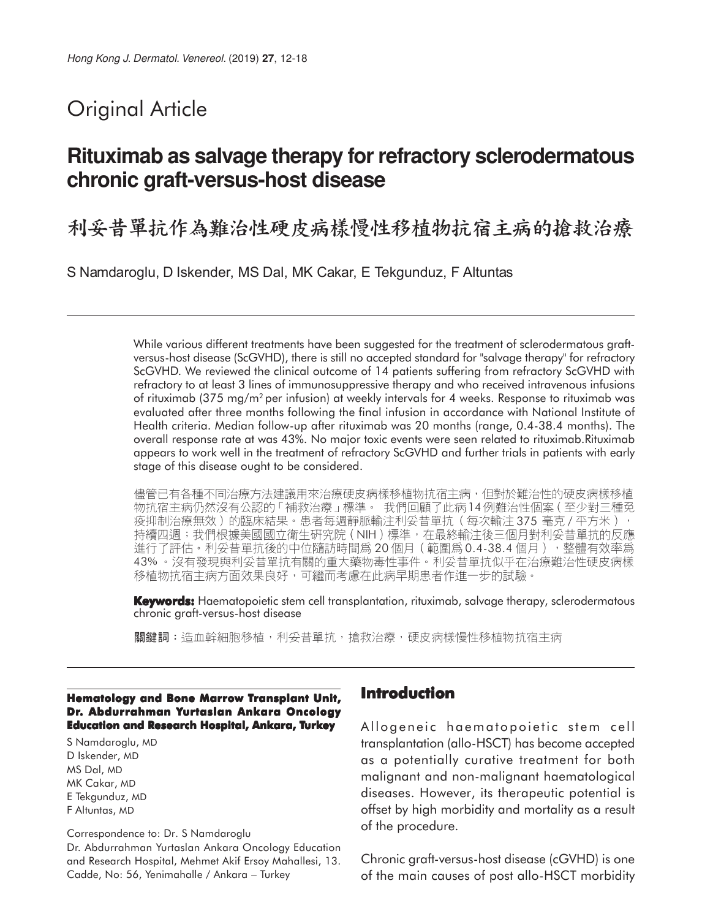# Original Article

## **Rituximab as salvage therapy for refractory sclerodermatous chronic graft-versus-host disease**

利妥昔單抗作為難治性硬皮病樣慢性移植物抗宿主病的搶救治療

S Namdaroglu, D Iskender, MS Dal, MK Cakar, E Tekgunduz, F Altuntas

While various different treatments have been suggested for the treatment of sclerodermatous graftversus-host disease (ScGVHD), there is still no accepted standard for "salvage therapy" for refractory ScGVHD. We reviewed the clinical outcome of 14 patients suffering from refractory ScGVHD with refractory to at least 3 lines of immunosuppressive therapy and who received intravenous infusions of rituximab (375 mg/m<sup>2</sup> per infusion) at weekly intervals for 4 weeks. Response to rituximab was evaluated after three months following the final infusion in accordance with National Institute of Health criteria. Median follow-up after rituximab was 20 months (range, 0.4-38.4 months). The overall response rate at was 43%. No major toxic events were seen related to rituximab.Rituximab appears to work well in the treatment of refractory ScGVHD and further trials in patients with early stage of this disease ought to be considered.

儘管已有各種不同治療方法建議用來治療硬皮病樣移植物抗宿主病,但對於難治性的硬皮病樣移植 物抗宿主病仍然沒有公認的「補救治療」標準。 我們回顧了此病14例難治性個案(至少對三種免 疫抑制治療無效)的臨床結果。患者每週靜脈輸注利妥昔單抗(每次輸注375毫克/平方米), 持續四週;我們根據美國國立衛生研究院(NIH)標準,在最終輸注後三個月對利妥昔單抗的反應 進行了評估。利妥昔單抗後的中位隨訪時間爲 20 個月(範圍爲 0.4-38.4 個月),整體有效率爲 43% 。沒有發現與利妥昔單抗有關的重大藥物毒性事件。利妥昔單抗似乎在治療難治性硬皮病樣 移植物抗宿主病方面效果良好,可繼而考慮在此病早期患者作進一步的試驗。

**Keywords:** Haematopoietic stem cell transplantation, rituximab, salvage therapy, sclerodermatous chronic graft-versus-host disease

關鍵詞:造血幹細胞移植,利妥昔單抗,搶救治療,硬皮病樣慢性移植物抗宿主病

#### **Hematology and Bone Marrow Transplant Unit, Dr. Abdurrahman Yurtaslan Ankara Oncology Education and Research Hospital, Ankara, Turkey**

S Namdaroglu, MD D Iskender, MD MS Dal, MD MK Cakar, MD E Tekgunduz, MD F Altuntas, MD

Correspondence to: Dr. S Namdaroglu Dr. Abdurrahman Yurtaslan Ankara Oncology Education and Research Hospital, Mehmet Akif Ersoy Mahallesi, 13. Cadde, No: 56, Yenimahalle / Ankara − Turkey

### **Introduction**

Allogeneic haematopoietic stem cell transplantation (allo-HSCT) has become accepted as a potentially curative treatment for both malignant and non-malignant haematological diseases. However, its therapeutic potential is offset by high morbidity and mortality as a result of the procedure.

Chronic graft-versus-host disease (cGVHD) is one of the main causes of post allo-HSCT morbidity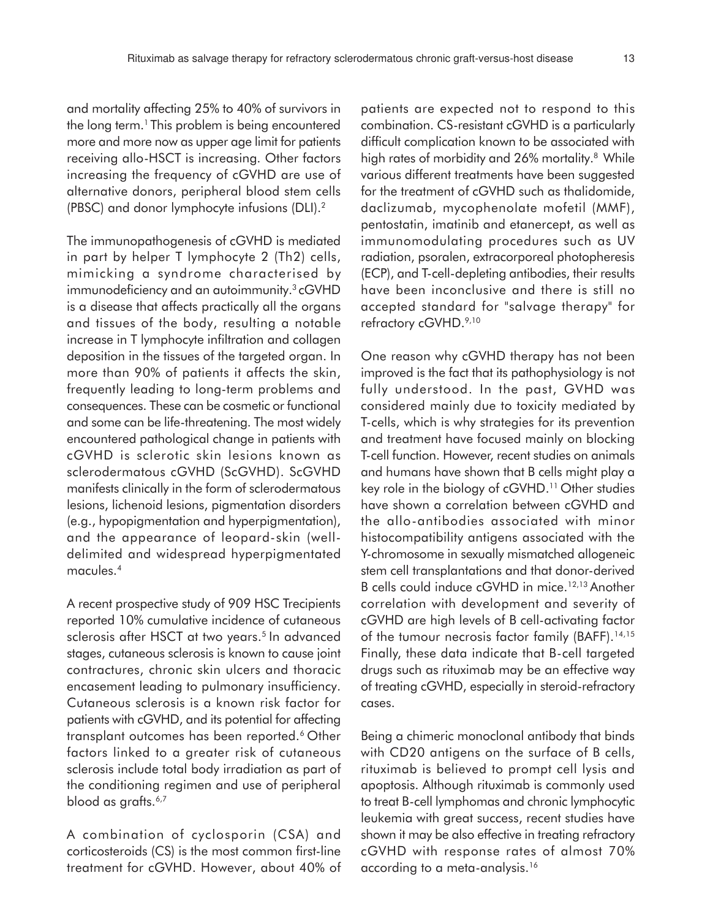and mortality affecting 25% to 40% of survivors in the long term.<sup>1</sup> This problem is being encountered more and more now as upper age limit for patients receiving allo-HSCT is increasing. Other factors increasing the frequency of cGVHD are use of alternative donors, peripheral blood stem cells (PBSC) and donor lymphocyte infusions (DLI).<sup>2</sup>

The immunopathogenesis of cGVHD is mediated in part by helper T lymphocyte 2 (Th2) cells, mimicking a syndrome characterised by immunodeficiency and an autoimmunity.<sup>3</sup>cGVHD is a disease that affects practically all the organs and tissues of the body, resulting a notable increase in T lymphocyte infiltration and collagen deposition in the tissues of the targeted organ. In more than 90% of patients it affects the skin, frequently leading to long-term problems and consequences. These can be cosmetic or functional and some can be life-threatening. The most widely encountered pathological change in patients with cGVHD is sclerotic skin lesions known as sclerodermatous cGVHD (ScGVHD). ScGVHD manifests clinically in the form of sclerodermatous lesions, lichenoid lesions, pigmentation disorders (e.g., hypopigmentation and hyperpigmentation), and the appearance of leopard-skin (welldelimited and widespread hyperpigmentated macules.<sup>4</sup>

A recent prospective study of 909 HSC Trecipients reported 10% cumulative incidence of cutaneous sclerosis after HSCT at two years.<sup>5</sup> In advanced stages, cutaneous sclerosis is known to cause joint contractures, chronic skin ulcers and thoracic encasement leading to pulmonary insufficiency. Cutaneous sclerosis is a known risk factor for patients with cGVHD, and its potential for affecting transplant outcomes has been reported.<sup>6</sup> Other factors linked to a greater risk of cutaneous sclerosis include total body irradiation as part of the conditioning regimen and use of peripheral blood as grafts.<sup>6,7</sup>

A combination of cyclosporin (CSA) and corticosteroids (CS) is the most common first-line treatment for cGVHD. However, about 40% of

patients are expected not to respond to this combination. CS-resistant cGVHD is a particularly difficult complication known to be associated with high rates of morbidity and 26% mortality.<sup>8</sup> While various different treatments have been suggested for the treatment of cGVHD such as thalidomide, daclizumab, mycophenolate mofetil (MMF), pentostatin, imatinib and etanercept, as well as immunomodulating procedures such as UV radiation, psoralen, extracorporeal photopheresis (ECP), and T-cell-depleting antibodies, their results have been inconclusive and there is still no accepted standard for "salvage therapy" for refractory cGVHD.<sup>9,10</sup>

One reason why cGVHD therapy has not been improved is the fact that its pathophysiology is not fully understood. In the past, GVHD was considered mainly due to toxicity mediated by T-cells, which is why strategies for its prevention and treatment have focused mainly on blocking T-cell function. However, recent studies on animals and humans have shown that B cells might play a key role in the biology of cGVHD.<sup>11</sup> Other studies have shown a correlation between cGVHD and the allo-antibodies associated with minor histocompatibility antigens associated with the Y-chromosome in sexually mismatched allogeneic stem cell transplantations and that donor-derived B cells could induce cGVHD in mice.<sup>12,13</sup> Another correlation with development and severity of cGVHD are high levels of B cell-activating factor of the tumour necrosis factor family (BAFF).<sup>14,15</sup> Finally, these data indicate that B-cell targeted drugs such as rituximab may be an effective way of treating cGVHD, especially in steroid-refractory cases.

Being a chimeric monoclonal antibody that binds with CD20 antigens on the surface of B cells, rituximab is believed to prompt cell lysis and apoptosis. Although rituximab is commonly used to treat B-cell lymphomas and chronic lymphocytic leukemia with great success, recent studies have shown it may be also effective in treating refractory cGVHD with response rates of almost 70% according to a meta-analysis.16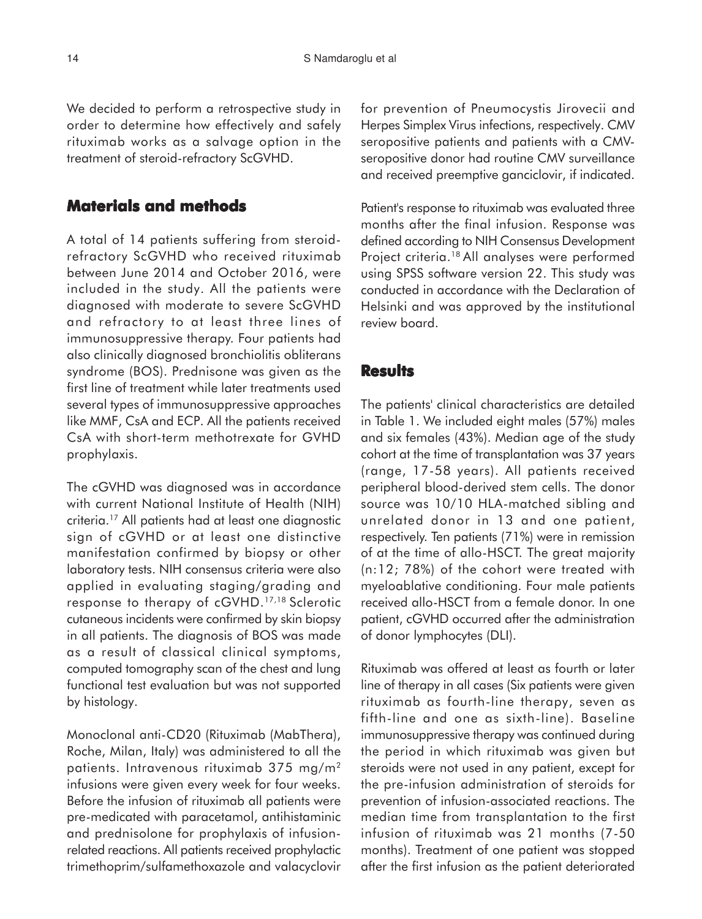We decided to perform a retrospective study in order to determine how effectively and safely rituximab works as a salvage option in the treatment of steroid-refractory ScGVHD.

#### **Materials and methods**

A total of 14 patients suffering from steroidrefractory ScGVHD who received rituximab between June 2014 and October 2016, were included in the study. All the patients were diagnosed with moderate to severe ScGVHD and refractory to at least three lines of immunosuppressive therapy. Four patients had also clinically diagnosed bronchiolitis obliterans syndrome (BOS). Prednisone was given as the first line of treatment while later treatments used several types of immunosuppressive approaches like MMF, CsA and ECP. All the patients received CsA with short-term methotrexate for GVHD prophylaxis.

The cGVHD was diagnosed was in accordance with current National Institute of Health (NIH) criteria.<sup>17</sup> All patients had at least one diagnostic sign of cGVHD or at least one distinctive manifestation confirmed by biopsy or other laboratory tests. NIH consensus criteria were also applied in evaluating staging/grading and response to therapy of cGVHD.17,18 Sclerotic cutaneous incidents were confirmed by skin biopsy in all patients. The diagnosis of BOS was made as a result of classical clinical symptoms, computed tomography scan of the chest and lung functional test evaluation but was not supported by histology.

Monoclonal anti-CD20 (Rituximab (MabThera), Roche, Milan, Italy) was administered to all the patients. Intravenous rituximab 375 mg/m<sup>2</sup> infusions were given every week for four weeks. Before the infusion of rituximab all patients were pre-medicated with paracetamol, antihistaminic and prednisolone for prophylaxis of infusionrelated reactions. All patients received prophylactic trimethoprim/sulfamethoxazole and valacyclovir for prevention of Pneumocystis Jirovecii and Herpes Simplex Virus infections, respectively. CMV seropositive patients and patients with a CMVseropositive donor had routine CMV surveillance and received preemptive ganciclovir, if indicated.

Patient's response to rituximab was evaluated three months after the final infusion. Response was defined according to NIH Consensus Development Project criteria.<sup>18</sup> All analyses were performed using SPSS software version 22. This study was conducted in accordance with the Declaration of Helsinki and was approved by the institutional review board.

#### **Results**

The patients' clinical characteristics are detailed in Table 1. We included eight males (57%) males and six females (43%). Median age of the study cohort at the time of transplantation was 37 years (range, 17-58 years). All patients received peripheral blood-derived stem cells. The donor source was 10/10 HLA-matched sibling and unrelated donor in 13 and one patient, respectively. Ten patients (71%) were in remission of at the time of allo-HSCT. The great majority (n:12; 78%) of the cohort were treated with myeloablative conditioning. Four male patients received allo-HSCT from a female donor. In one patient, cGVHD occurred after the administration of donor lymphocytes (DLI).

Rituximab was offered at least as fourth or later line of therapy in all cases (Six patients were given rituximab as fourth-line therapy, seven as fifth-line and one as sixth-line). Baseline immunosuppressive therapy was continued during the period in which rituximab was given but steroids were not used in any patient, except for the pre-infusion administration of steroids for prevention of infusion-associated reactions. The median time from transplantation to the first infusion of rituximab was 21 months (7-50 months). Treatment of one patient was stopped after the first infusion as the patient deteriorated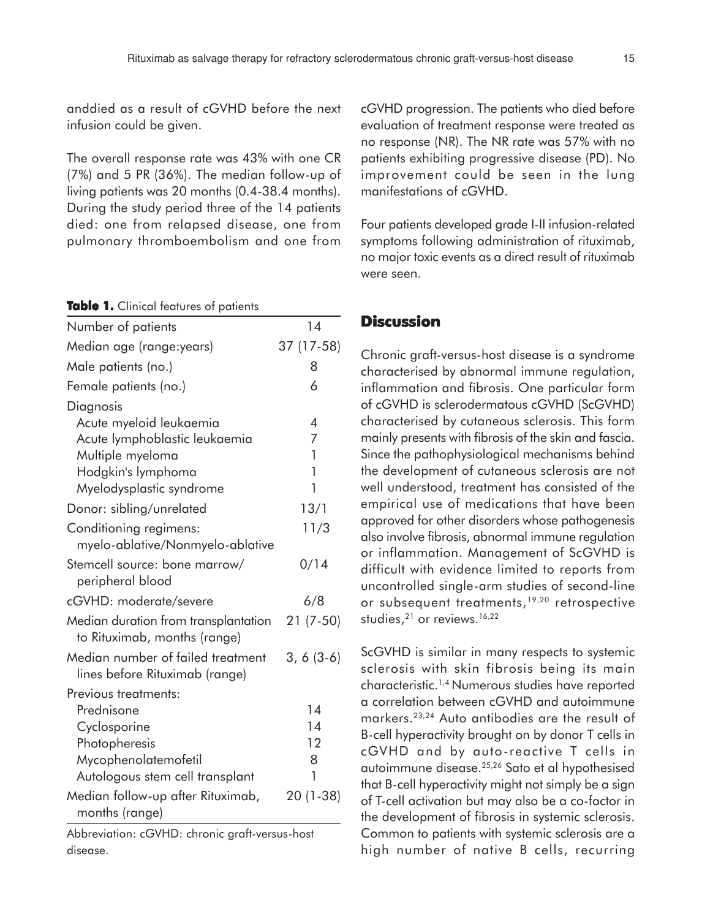anddied as a result of cGVHD before the next infusion could be given.

The overall response rate was 43% with one CR (7%) and 5 PR (36%). The median follow-up of living patients was 20 months (0.4-38.4 months). During the study period three of the 14 patients died: one from relapsed disease, one from pulmonary thromboembolism and one from

**Table 1.** Clinical features of patients

| Number of patients                                                   | 14          |
|----------------------------------------------------------------------|-------------|
| Median age (range:years)                                             | 37 (17-58)  |
| Male patients (no.)                                                  | 8           |
| Female patients (no.)                                                | 6           |
| Diagnosis                                                            |             |
| Acute myeloid leukaemia                                              | 4           |
| Acute lymphoblastic leukaemia                                        | 7           |
| Multiple myeloma                                                     | 1           |
| Hodgkin's lymphoma                                                   | 1           |
| Myelodysplastic syndrome                                             | 1           |
| Donor: sibling/unrelated                                             | 13/1        |
| Conditioning regimens:                                               | 11/3        |
| myelo-ablative/Nonmyelo-ablative                                     |             |
| Stemcell source: bone marrow/<br>peripheral blood                    | 0/14        |
| cGVHD: moderate/severe                                               | 6/8         |
| Median duration from transplantation<br>to Rituximab, months (range) | $21(7-50)$  |
| Median number of failed treatment<br>lines before Rituximab (range)  | $3, 6(3-6)$ |
| Previous treatments:                                                 |             |
| Prednisone                                                           | 14          |
| Cyclosporine                                                         | 14          |
| Photopheresis                                                        | 12          |
| Mycophenolatemofetil                                                 | 8           |
| Autologous stem cell transplant                                      | 1           |
| Median follow-up after Rituximab,<br>months (range)                  | $20(1-38)$  |
|                                                                      |             |

Abbreviation: cGVHD: chronic graft-versus-host disease.

cGVHD progression. The patients who died before evaluation of treatment response were treated as no response (NR). The NR rate was 57% with no patients exhibiting progressive disease (PD). No improvement could be seen in the lung manifestations of cGVHD.

Four patients developed grade I-II infusion-related symptoms following administration of rituximab, no major toxic events as a direct result of rituximab were seen.

#### **Discussion**

Chronic graft-versus-host disease is a syndrome characterised by abnormal immune regulation, inflammation and fibrosis. One particular form of cGVHD is sclerodermatous cGVHD (ScGVHD) characterised by cutaneous sclerosis. This form mainly presents with fibrosis of the skin and fascia. Since the pathophysiological mechanisms behind the development of cutaneous sclerosis are not well understood, treatment has consisted of the empirical use of medications that have been approved for other disorders whose pathogenesis also involve fibrosis, abnormal immune regulation or inflammation. Management of ScGVHD is difficult with evidence limited to reports from uncontrolled single-arm studies of second-line or subsequent treatments,<sup>19,20</sup> retrospective studies,<sup>21</sup> or reviews.<sup>16,22</sup>

ScGVHD is similar in many respects to systemic sclerosis with skin fibrosis being its main characteristic.1,4 Numerous studies have reported a correlation between cGVHD and autoimmune markers.23,24 Auto antibodies are the result of B-cell hyperactivity brought on by donor T cells in cGVHD and by auto-reactive T cells in autoimmune disease.25,26 Sato et al hypothesised that B-cell hyperactivity might not simply be a sign of T-cell activation but may also be a co-factor in the development of fibrosis in systemic sclerosis. Common to patients with systemic sclerosis are a high number of native B cells, recurring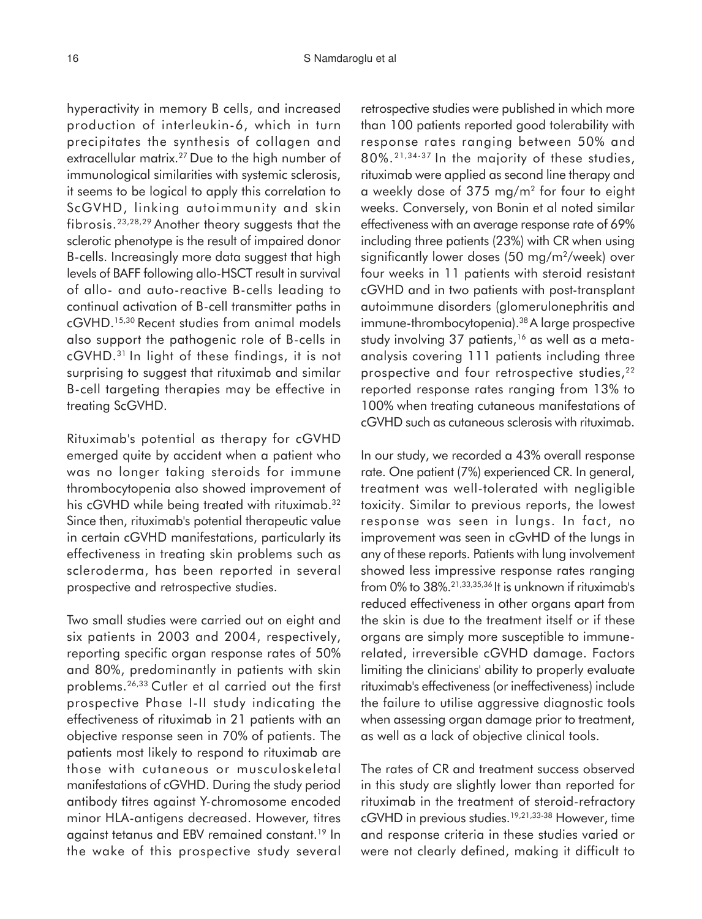hyperactivity in memory B cells, and increased production of interleukin-6, which in turn precipitates the synthesis of collagen and extracellular matrix.<sup>27</sup> Due to the high number of immunological similarities with systemic sclerosis, it seems to be logical to apply this correlation to ScGVHD, linking autoimmunity and skin fibrosis.23,28,29 Another theory suggests that the sclerotic phenotype is the result of impaired donor B-cells. Increasingly more data suggest that high levels of BAFF following allo-HSCT result in survival of allo- and auto-reactive B-cells leading to continual activation of B-cell transmitter paths in cGVHD.15,30 Recent studies from animal models also support the pathogenic role of B-cells in cGVHD.<sup>31</sup> In light of these findings, it is not surprising to suggest that rituximab and similar B-cell targeting therapies may be effective in treating ScGVHD.

Rituximab's potential as therapy for cGVHD emerged quite by accident when a patient who was no longer taking steroids for immune thrombocytopenia also showed improvement of his cGVHD while being treated with rituximab.<sup>32</sup> Since then, rituximab's potential therapeutic value in certain cGVHD manifestations, particularly its effectiveness in treating skin problems such as scleroderma, has been reported in several prospective and retrospective studies.

Two small studies were carried out on eight and six patients in 2003 and 2004, respectively, reporting specific organ response rates of 50% and 80%, predominantly in patients with skin problems.26,33 Cutler et al carried out the first prospective Phase I-II study indicating the effectiveness of rituximab in 21 patients with an objective response seen in 70% of patients. The patients most likely to respond to rituximab are those with cutaneous or musculoskeletal manifestations of cGVHD. During the study period antibody titres against Y-chromosome encoded minor HLA-antigens decreased. However, titres against tetanus and EBV remained constant.<sup>19</sup> In the wake of this prospective study several

retrospective studies were published in which more than 100 patients reported good tolerability with response rates ranging between 50% and 80%. 21,34-37 In the majority of these studies, rituximab were applied as second line therapy and a weekly dose of 375 mg/m<sup>2</sup> for four to eight weeks. Conversely, von Bonin et al noted similar effectiveness with an average response rate of 69% including three patients (23%) with CR when using significantly lower doses (50 mg/m<sup>2</sup> /week) over four weeks in 11 patients with steroid resistant cGVHD and in two patients with post-transplant autoimmune disorders (glomerulonephritis and immune-thrombocytopenia).<sup>38</sup>A large prospective study involving  $37$  patients,<sup>16</sup> as well as a metaanalysis covering 111 patients including three prospective and four retrospective studies,<sup>22</sup> reported response rates ranging from 13% to 100% when treating cutaneous manifestations of cGVHD such as cutaneous sclerosis with rituximab.

In our study, we recorded a 43% overall response rate. One patient (7%) experienced CR. In general, treatment was well-tolerated with negligible toxicity. Similar to previous reports, the lowest response was seen in lungs. In fact, no improvement was seen in cGvHD of the lungs in any of these reports. Patients with lung involvement showed less impressive response rates ranging from 0% to 38%.21,33,35,36 It is unknown if rituximab's reduced effectiveness in other organs apart from the skin is due to the treatment itself or if these organs are simply more susceptible to immunerelated, irreversible cGVHD damage. Factors limiting the clinicians' ability to properly evaluate rituximab's effectiveness (or ineffectiveness) include the failure to utilise aggressive diagnostic tools when assessing organ damage prior to treatment, as well as a lack of objective clinical tools.

The rates of CR and treatment success observed in this study are slightly lower than reported for rituximab in the treatment of steroid-refractory cGVHD in previous studies.19,21,33-38 However, time and response criteria in these studies varied or were not clearly defined, making it difficult to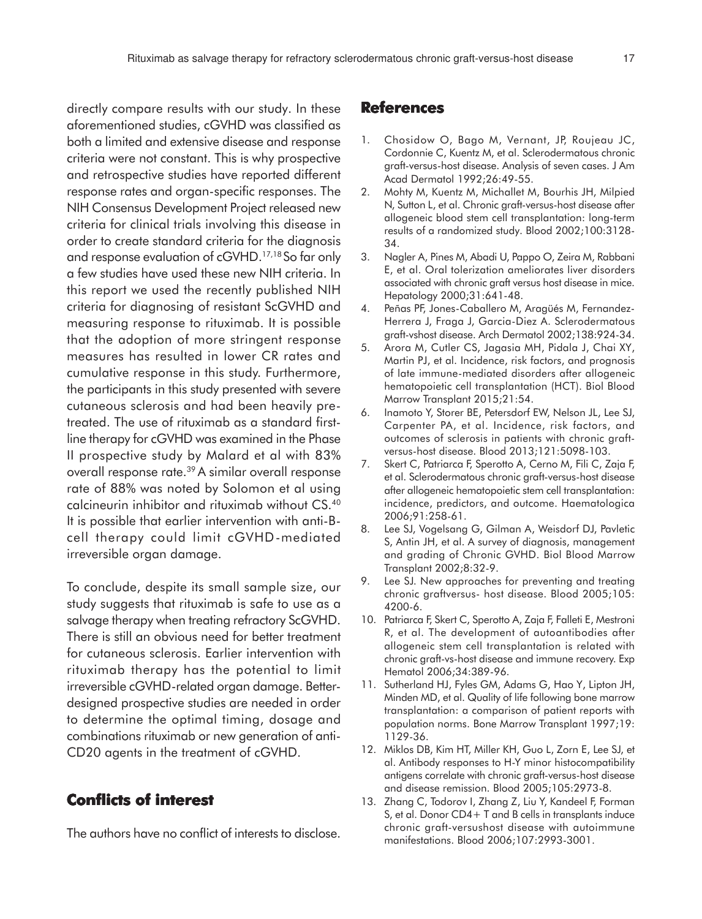directly compare results with our study. In these aforementioned studies, cGVHD was classified as both a limited and extensive disease and response criteria were not constant. This is why prospective and retrospective studies have reported different response rates and organ-specific responses. The NIH Consensus Development Project released new criteria for clinical trials involving this disease in order to create standard criteria for the diagnosis and response evaluation of cGVHD.17,18 So far only a few studies have used these new NIH criteria. In this report we used the recently published NIH criteria for diagnosing of resistant ScGVHD and measuring response to rituximab. It is possible that the adoption of more stringent response measures has resulted in lower CR rates and cumulative response in this study. Furthermore, the participants in this study presented with severe cutaneous sclerosis and had been heavily pretreated. The use of rituximab as a standard firstline therapy for cGVHD was examined in the Phase II prospective study by Malard et al with 83% overall response rate.<sup>39</sup> A similar overall response rate of 88% was noted by Solomon et al using calcineurin inhibitor and rituximab without CS.<sup>40</sup> It is possible that earlier intervention with anti-Bcell therapy could limit cGVHD-mediated irreversible organ damage.

To conclude, despite its small sample size, our study suggests that rituximab is safe to use as a salvage therapy when treating refractory ScGVHD. There is still an obvious need for better treatment for cutaneous sclerosis. Earlier intervention with rituximab therapy has the potential to limit irreversible cGVHD-related organ damage. Betterdesigned prospective studies are needed in order to determine the optimal timing, dosage and combinations rituximab or new generation of anti-CD20 agents in the treatment of cGVHD.

### **Conflicts of interest**

The authors have no conflict of interests to disclose.

#### **References**

- 1. Chosidow O, Bago M, Vernant, JP, Roujeau JC, Cordonnie C, Kuentz M, et al. Sclerodermatous chronic graft-versus-host disease. Analysis of seven cases. J Am Acad Dermatol 1992;26:49-55.
- 2. Mohty M, Kuentz M, Michallet M, Bourhis JH, Milpied N, Sutton L, et al. Chronic graft-versus-host disease after allogeneic blood stem cell transplantation: long-term results of a randomized study. Blood 2002;100:3128- 34.
- 3. Nagler A, Pines M, Abadi U, Pappo O, Zeira M, Rabbani E, et al. Oral tolerization ameliorates liver disorders associated with chronic graft versus host disease in mice. Hepatology 2000;31:641-48.
- 4. Peñas PF, Jones-Caballero M, Aragüés M, Fernandez-Herrera J, Fraga J, Garcia-Diez A. Sclerodermatous graft-vshost disease. Arch Dermatol 2002;138:924-34.
- 5. Arora M, Cutler CS, Jagasia MH, Pidala J, Chai XY, Martin PJ, et al. Incidence, risk factors, and prognosis of late immune-mediated disorders after allogeneic hematopoietic cell transplantation (HCT). Biol Blood Marrow Transplant 2015;21:54.
- 6. Inamoto Y, Storer BE, Petersdorf EW, Nelson JL, Lee SJ, Carpenter PA, et al. Incidence, risk factors, and outcomes of sclerosis in patients with chronic graftversus-host disease. Blood 2013;121:5098-103.
- 7. Skert C, Patriarca F, Sperotto A, Cerno M, Fili C, Zaja F, et al. Sclerodermatous chronic graft-versus-host disease after allogeneic hematopoietic stem cell transplantation: incidence, predictors, and outcome. Haematologica 2006;91:258-61.
- 8. Lee SJ, Vogelsang G, Gilman A, Weisdorf DJ, Pavletic S, Antin JH, et al. A survey of diagnosis, management and grading of Chronic GVHD. Biol Blood Marrow Transplant 2002;8:32-9.
- 9. Lee SJ. New approaches for preventing and treating chronic graftversus- host disease. Blood 2005;105: 4200-6.
- 10. Patriarca F, Skert C, Sperotto A, Zaja F, Falleti E, Mestroni R, et al. The development of autoantibodies after allogeneic stem cell transplantation is related with chronic graft-vs-host disease and immune recovery. Exp Hematol 2006;34:389-96.
- 11. Sutherland HJ, Fyles GM, Adams G, Hao Y, Lipton JH, Minden MD, et al. Quality of life following bone marrow transplantation: a comparison of patient reports with population norms. Bone Marrow Transplant 1997;19: 1129-36.
- 12. Miklos DB, Kim HT, Miller KH, Guo L, Zorn E, Lee SJ, et al. Antibody responses to H-Y minor histocompatibility antigens correlate with chronic graft-versus-host disease and disease remission. Blood 2005;105:2973-8.
- 13. Zhang C, Todorov I, Zhang Z, Liu Y, Kandeel F, Forman S, et al. Donor CD4+ T and B cells in transplants induce chronic graft-versushost disease with autoimmune manifestations. Blood 2006;107:2993-3001.